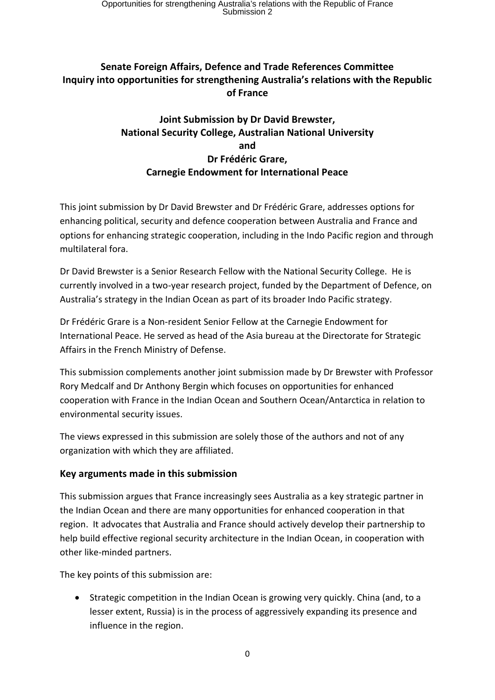# **Senate Foreign Affairs, Defence and Trade References Committee Inquiry into opportunities for strengthening Australia's relations with the Republic of France**

# **Joint Submission by Dr David Brewster, National Security College, Australian National University and Dr Frédéric Grare, Carnegie Endowment for International Peace**

This joint submission by Dr David Brewster and Dr Frédéric Grare, addresses options for enhancing political, security and defence cooperation between Australia and France and options for enhancing strategic cooperation, including in the Indo Pacific region and through multilateral fora.

Dr David Brewster is a Senior Research Fellow with the National Security College. He is currently involved in a two-year research project, funded by the Department of Defence, on Australia's strategy in the Indian Ocean as part of its broader Indo Pacific strategy.

Dr Frédéric Grare is a Non-resident Senior Fellow at the Carnegie Endowment for International Peace. He served as head of the Asia bureau at the Directorate for Strategic Affairs in the French Ministry of Defense.

This submission complements another joint submission made by Dr Brewster with Professor Rory Medcalf and Dr Anthony Bergin which focuses on opportunities for enhanced cooperation with France in the Indian Ocean and Southern Ocean/Antarctica in relation to environmental security issues.

The views expressed in this submission are solely those of the authors and not of any organization with which they are affiliated.

## **Key arguments made in this submission**

This submission argues that France increasingly sees Australia as a key strategic partner in the Indian Ocean and there are many opportunities for enhanced cooperation in that region. It advocates that Australia and France should actively develop their partnership to help build effective regional security architecture in the Indian Ocean, in cooperation with other like-minded partners.

The key points of this submission are:

• Strategic competition in the Indian Ocean is growing very quickly. China (and, to a lesser extent, Russia) is in the process of aggressively expanding its presence and influence in the region.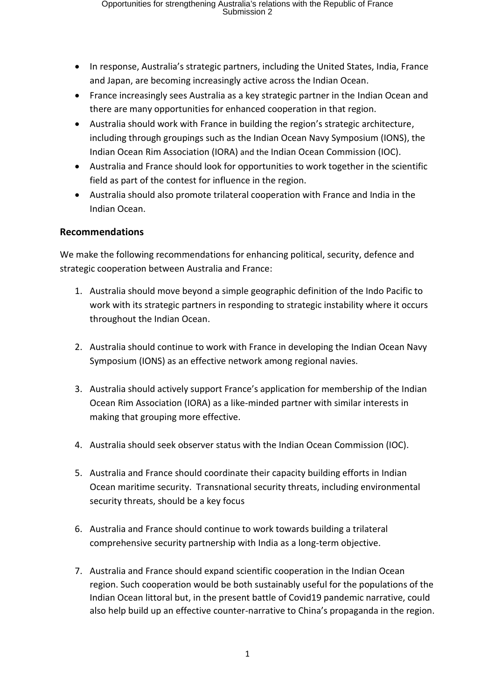- In response, Australia's strategic partners, including the United States, India, France and Japan, are becoming increasingly active across the Indian Ocean.
- France increasingly sees Australia as a key strategic partner in the Indian Ocean and there are many opportunities for enhanced cooperation in that region.
- Australia should work with France in building the region's strategic architecture, including through groupings such as the Indian Ocean Navy Symposium (IONS), the Indian Ocean Rim Association (IORA) and the Indian Ocean Commission (IOC).
- Australia and France should look for opportunities to work together in the scientific field as part of the contest for influence in the region.
- Australia should also promote trilateral cooperation with France and India in the Indian Ocean.

### **Recommendations**

We make the following recommendations for enhancing political, security, defence and strategic cooperation between Australia and France:

- 1. Australia should move beyond a simple geographic definition of the Indo Pacific to work with its strategic partners in responding to strategic instability where it occurs throughout the Indian Ocean.
- 2. Australia should continue to work with France in developing the Indian Ocean Navy Symposium (IONS) as an effective network among regional navies.
- 3. Australia should actively support France's application for membership of the Indian Ocean Rim Association (IORA) as a like-minded partner with similar interests in making that grouping more effective.
- 4. Australia should seek observer status with the Indian Ocean Commission (IOC).
- 5. Australia and France should coordinate their capacity building efforts in Indian Ocean maritime security. Transnational security threats, including environmental security threats, should be a key focus
- 6. Australia and France should continue to work towards building a trilateral comprehensive security partnership with India as a long-term objective.
- 7. Australia and France should expand scientific cooperation in the Indian Ocean region. Such cooperation would be both sustainably useful for the populations of the Indian Ocean littoral but, in the present battle of Covid19 pandemic narrative, could also help build up an effective counter-narrative to China's propaganda in the region.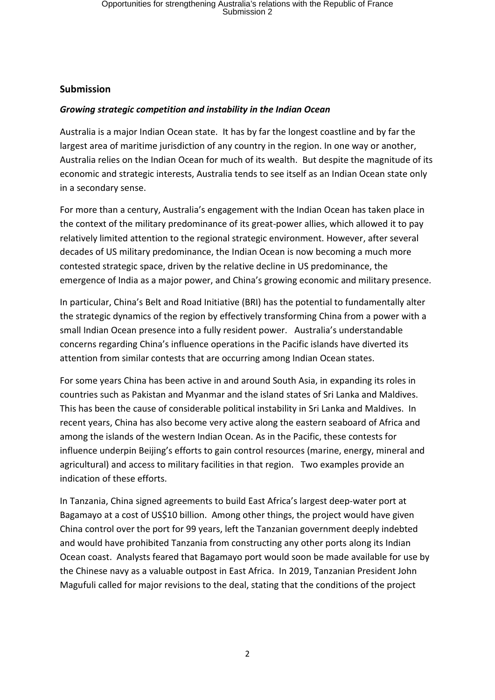#### **Submission**

### *Growing strategic competition and instability in the Indian Ocean*

Australia is a major Indian Ocean state. It has by far the longest coastline and by far the largest area of maritime jurisdiction of any country in the region. In one way or another, Australia relies on the Indian Ocean for much of its wealth. But despite the magnitude of its economic and strategic interests, Australia tends to see itself as an Indian Ocean state only in a secondary sense.

For more than a century, Australia's engagement with the Indian Ocean has taken place in the context of the military predominance of its great-power allies, which allowed it to pay relatively limited attention to the regional strategic environment. However, after several decades of US military predominance, the Indian Ocean is now becoming a much more contested strategic space, driven by the relative decline in US predominance, the emergence of India as a major power, and China's growing economic and military presence.

In particular, China's Belt and Road Initiative (BRI) has the potential to fundamentally alter the strategic dynamics of the region by effectively transforming China from a power with a small Indian Ocean presence into a fully resident power. Australia's understandable concerns regarding China's influence operations in the Pacific islands have diverted its attention from similar contests that are occurring among Indian Ocean states.

For some years China has been active in and around South Asia, in expanding its roles in countries such as Pakistan and Myanmar and the island states of Sri Lanka and Maldives. This has been the cause of considerable political instability in Sri Lanka and Maldives. In recent years, China has also become very active along the eastern seaboard of Africa and among the islands of the western Indian Ocean. As in the Pacific, these contests for influence underpin Beijing's efforts to gain control resources (marine, energy, mineral and agricultural) and access to military facilities in that region. Two examples provide an indication of these efforts.

In Tanzania, China signed agreements to build East Africa's largest deep-water port at Bagamayo at a cost of US\$10 billion. Among other things, the project would have given China control over the port for 99 years, left the Tanzanian government deeply indebted and would have prohibited Tanzania from constructing any other ports along its Indian Ocean coast. Analysts feared that Bagamayo port would soon be made available for use by the Chinese navy as a valuable outpost in East Africa. In 2019, Tanzanian President John Magufuli called for major revisions to the deal, stating that the conditions of the project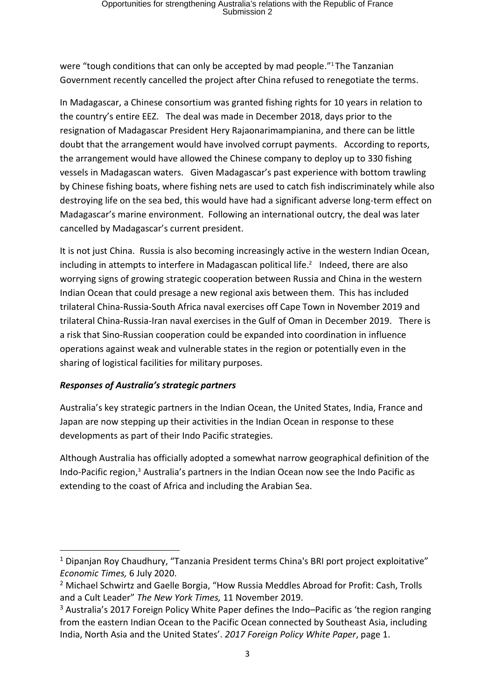were "tough conditions that can only be accepted by mad people." <sup>1</sup> The Tanzanian Government recently cancelled the project after China refused to renegotiate the terms.

In Madagascar, a Chinese consortium was granted fishing rights for 10 years in relation to the country's entire EEZ. The deal was made in December 2018, days prior to the resignation of Madagascar President Hery Rajaonarimampianina, and there can be little doubt that the arrangement would have involved corrupt payments. According to reports, the arrangement would have allowed the Chinese company to deploy up to 330 fishing vessels in Madagascan waters. Given Madagascar's past experience with bottom trawling by Chinese fishing boats, where fishing nets are used to catch fish indiscriminately while also destroying life on the sea bed, this would have had a significant adverse long-term effect on Madagascar's marine environment. Following an international outcry, the deal was later cancelled by Madagascar's current president.

It is not just China. Russia is also becoming increasingly active in the western Indian Ocean, including in attempts to interfere in Madagascan political life. $<sup>2</sup>$  Indeed, there are also</sup> worrying signs of growing strategic cooperation between Russia and China in the western Indian Ocean that could presage a new regional axis between them. This has included trilateral China-Russia-South Africa naval exercises off Cape Town in November 2019 and trilateral China-Russia-Iran naval exercises in the Gulf of Oman in December 2019. There is a risk that Sino-Russian cooperation could be expanded into coordination in influence operations against weak and vulnerable states in the region or potentially even in the sharing of logistical facilities for military purposes.

#### *Responses of Australia's strategic partners*

Australia's key strategic partners in the Indian Ocean, the United States, India, France and Japan are now stepping up their activities in the Indian Ocean in response to these developments as part of their Indo Pacific strategies.

Although Australia has officially adopted a somewhat narrow geographical definition of the Indo-Pacific region,<sup>3</sup> Australia's partners in the Indian Ocean now see the Indo Pacific as extending to the coast of Africa and including the Arabian Sea.

<sup>&</sup>lt;sup>1</sup> Dipanian Roy Chaudhury, "Tanzania President terms China's BRI port project exploitative" *Economic Times,* 6 July 2020.

<sup>&</sup>lt;sup>2</sup> Michael Schwirtz and Gaelle Borgia, "How Russia Meddles Abroad for Profit: Cash, Trolls and a Cult Leader" *The New York Times,* 11 November 2019.

<sup>&</sup>lt;sup>3</sup> Australia's [2017 Foreign Policy White Paper](https://www.fpwhitepaper.gov.au/) defines the Indo–Pacific as 'the region ranging from the eastern Indian Ocean to the Pacific Ocean connected by Southeast Asia, including India, North Asia and the United States'. *2017 Foreign Policy White Paper*, page 1.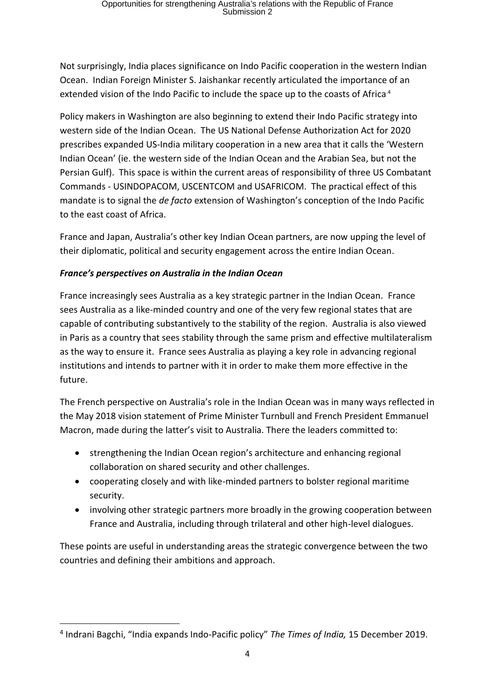Not surprisingly, India places significance on Indo Pacific cooperation in the western Indian Ocean. Indian Foreign Minister S. Jaishankar recently articulated the importance of an [extended vision of the Indo Pacific](https://timesofindia.indiatimes.com/india/india-expands-indo-pacific-policy/articleshow/72644806.cms) to include the space up to the coasts of Africa<sup>4</sup>

Policy makers in Washington are also beginning to extend their Indo Pacific strategy into western side of the Indian Ocean. The US National Defense Authorization Act for 2020 prescribes expanded US-India military cooperation in a new area that it calls the 'Western Indian Ocean' (ie. the western side of the Indian Ocean and the Arabian Sea, but not the Persian Gulf). This space is within the current areas of responsibility of three US Combatant Commands - USINDOPACOM, USCENTCOM and USAFRICOM. The practical effect of this mandate is to signal the *de facto* extension of Washington's conception of the Indo Pacific to the east coast of Africa.

France and Japan, Australia's other key Indian Ocean partners, are now upping the level of their diplomatic, political and security engagement across the entire Indian Ocean.

## *France's perspectives on Australia in the Indian Ocean*

France increasingly sees Australia as a key strategic partner in the Indian Ocean. France sees Australia as a like-minded country and one of the very few regional states that are capable of contributing substantively to the stability of the region. Australia is also viewed in Paris as a country that sees stability through the same prism and effective multilateralism as the way to ensure it. France sees Australia as playing a key role in advancing regional institutions and intends to partner with it in order to make them more effective in the future.

The French perspective on Australia's role in the Indian Ocean was in many ways reflected in the May 2018 vision statement of Prime Minister Turnbull and French President Emmanuel Macron, made during the latter's visit to Australia. There the leaders committed to:

- strengthening the Indian Ocean region's architecture and enhancing regional collaboration on shared security and other challenges.
- cooperating closely and with like-minded partners to bolster regional maritime security.
- involving other strategic partners more broadly in the growing cooperation between France and Australia, including through trilateral and other high-level dialogues.

These points are useful in understanding areas the strategic convergence between the two countries and defining their ambitions and approach.

<sup>4</sup> Indrani Bagchi, "India expands Indo-Pacific policy" *The Times of India,* 15 December 2019.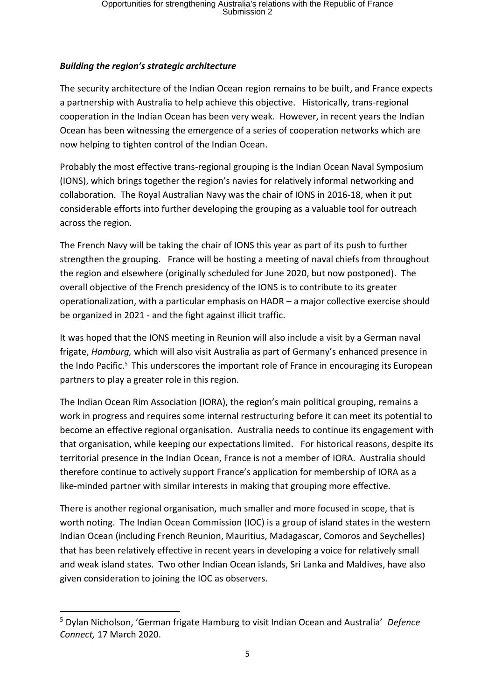## *Building the region's strategic architecture*

The security architecture of the Indian Ocean region remains to be built, and France expects a partnership with Australia to help achieve this objective. Historically, trans-regional cooperation in the Indian Ocean has been very weak. However, in recent years the Indian Ocean has been witnessing the emergence of a series of cooperation networks which are now helping to tighten control of the Indian Ocean.

Probably the most effective trans-regional grouping is the Indian Ocean Naval Symposium (IONS), which brings together the region's navies for relatively informal networking and collaboration. The Royal Australian Navy was the chair of IONS in 2016-18, when it put considerable efforts into further developing the grouping as a valuable tool for outreach across the region.

The French Navy will be taking the chair of IONS this year as part of its push to further strengthen the grouping. France will be hosting a meeting of naval chiefs from throughout the region and elsewhere (originally scheduled for June 2020, but now postponed). The overall objective of the French presidency of the IONS is to contribute to its greater operationalization, with a particular emphasis on HADR – a major collective exercise should be organized in 2021 - and the fight against illicit traffic.

It was hoped that the IONS meeting in Reunion will also include a visit by a German naval frigate, *Hamburg,* which will also visit Australia as part of Germany's enhanced presence in the Indo Pacific.<sup>5</sup> This underscores the important role of France in encouraging its European partners to play a greater role in this region.

The Indian Ocean Rim Association (IORA), the region's main political grouping, remains a work in progress and requires some internal restructuring before it can meet its potential to become an effective regional organisation. Australia needs to continue its engagement with that organisation, while keeping our expectations limited. For historical reasons, despite its territorial presence in the Indian Ocean, France is not a member of IORA. Australia should therefore continue to actively support France's application for membership of IORA as a like-minded partner with similar interests in making that grouping more effective.

There is another regional organisation, much smaller and more focused in scope, that is worth noting. The Indian Ocean Commission (IOC) is a group of island states in the western Indian Ocean (including French Reunion, Mauritius, Madagascar, Comoros and Seychelles) that has been relatively effective in recent years in developing a voice for relatively small and weak island states. Two other Indian Ocean islands, Sri Lanka and Maldives, have also given consideration to joining the IOC as observers.

<sup>5</sup> Dylan Nicholson, 'German frigate Hamburg to visit Indian Ocean and Australia' *Defence Connect,* 17 March 2020.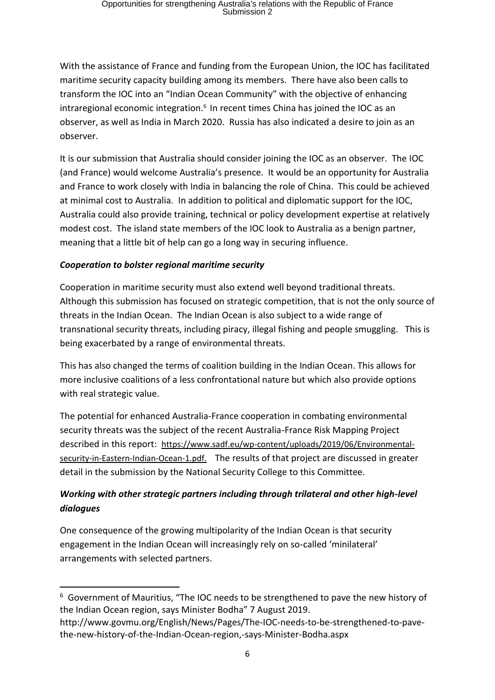With the assistance of France and funding from the European Union, the IOC has facilitated maritime security capacity building among its members. There have also been calls to transform the IOC into an "Indian Ocean Community" with the objective of enhancing intraregional economic integration.<sup>6</sup> In recent times China has joined the IOC as an observer, as well as India in March 2020. Russia has also indicated a desire to join as an observer.

It is our submission that Australia should consider joining the IOC as an observer. The IOC (and France) would welcome Australia's presence. It would be an opportunity for Australia and France to work closely with India in balancing the role of China. This could be achieved at minimal cost to Australia. In addition to political and diplomatic support for the IOC, Australia could also provide training, technical or policy development expertise at relatively modest cost. The island state members of the IOC look to Australia as a benign partner, meaning that a little bit of help can go a long way in securing influence.

### *Cooperation to bolster regional maritime security*

Cooperation in maritime security must also extend well beyond traditional threats. Although this submission has focused on strategic competition, that is not the only source of threats in the Indian Ocean. The Indian Ocean is also subject to a wide range of transnational security threats, including piracy, illegal fishing and people smuggling. This is being exacerbated by a range of environmental threats.

This has also changed the terms of coalition building in the Indian Ocean. This allows for more inclusive coalitions of a less confrontational nature but which also provide options with real strategic value.

The potential for enhanced Australia-France cooperation in combating environmental security threats was the subject of the recent Australia-France Risk Mapping Project described in this report: [https://www.sadf.eu/wp-content/uploads/2019/06/Environmental](https://www.sadf.eu/wp-content/uploads/2019/06/Environmental-security-in-Eastern-Indian-Ocean-1.pdf)[security-in-Eastern-Indian-Ocean-1.pdf.](https://www.sadf.eu/wp-content/uploads/2019/06/Environmental-security-in-Eastern-Indian-Ocean-1.pdf) The results of that project are discussed in greater detail in the submission by the National Security College to this Committee.

# *Working with other strategic partners including through trilateral and other high-level dialogues*

One consequence of the growing multipolarity of the Indian Ocean is that security engagement in the Indian Ocean will increasingly rely on so-called 'minilateral' arrangements with selected partners.

<sup>&</sup>lt;sup>6</sup> Government of Mauritius, "The IOC needs to be strengthened to pave the new history of the Indian Ocean region, says Minister Bodha" 7 August 2019.

http://www.govmu.org/English/News/Pages/The-IOC-needs-to-be-strengthened-to-pavethe-new-history-of-the-Indian-Ocean-region,-says-Minister-Bodha.aspx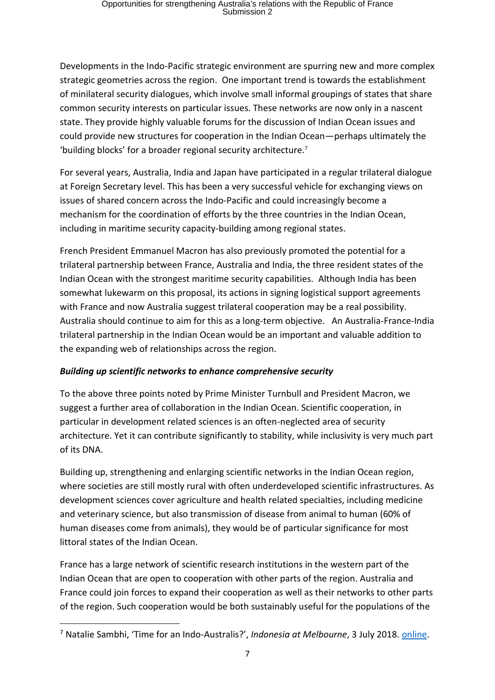Developments in the Indo-Pacific strategic environment are spurring new and more complex strategic geometries across the region. One important trend is towards the establishment of minilateral security dialogues, which involve small informal groupings of states that share common security interests on particular issues. These networks are now only in a nascent state. They provide highly valuable forums for the discussion of Indian Ocean issues and could provide new structures for cooperation in the Indian Ocean—perhaps ultimately the 'building blocks' for a broader regional security architecture.<sup>7</sup>

For several years, Australia, India and Japan have participated in a regular trilateral dialogue at Foreign Secretary level. This has been a very successful vehicle for exchanging views on issues of shared concern across the Indo-Pacific and could increasingly become a mechanism for the coordination of efforts by the three countries in the Indian Ocean, including in maritime security capacity-building among regional states.

French President Emmanuel Macron has also previously promoted the potential for a trilateral partnership between France, Australia and India, the three resident states of the Indian Ocean with the strongest maritime security capabilities. Although India has been somewhat lukewarm on this proposal, its actions in signing logistical support agreements with France and now Australia suggest trilateral cooperation may be a real possibility. Australia should continue to aim for this as a long-term objective. An Australia-France-India trilateral partnership in the Indian Ocean would be an important and valuable addition to the expanding web of relationships across the region.

#### *Building up scientific networks to enhance comprehensive security*

To the above three points noted by Prime Minister Turnbull and President Macron, we suggest a further area of collaboration in the Indian Ocean. Scientific cooperation, in particular in development related sciences is an often-neglected area of security architecture. Yet it can contribute significantly to stability, while inclusivity is very much part of its DNA.

Building up, strengthening and enlarging scientific networks in the Indian Ocean region, where societies are still mostly rural with often underdeveloped scientific infrastructures. As development sciences cover agriculture and health related specialties, including medicine and veterinary science, but also transmission of disease from animal to human (60% of human diseases come from animals), they would be of particular significance for most littoral states of the Indian Ocean.

France has a large network of scientific research institutions in the western part of the Indian Ocean that are open to cooperation with other parts of the region. Australia and France could join forces to expand their cooperation as well as their networks to other parts of the region. Such cooperation would be both sustainably useful for the populations of the

<sup>7</sup> Natalie Sambhi, 'Time for an Indo-Australis?', *Indonesia at Melbourne*, 3 July 2018. [online.](http://indonesiaatmelbourne.unimelb.edu.au/time-for-an-indo-australis/)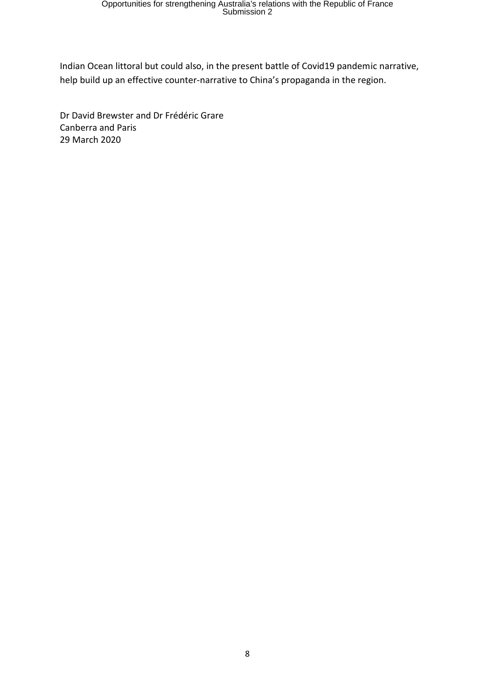Indian Ocean littoral but could also, in the present battle of Covid19 pandemic narrative, help build up an effective counter-narrative to China's propaganda in the region.

Dr David Brewster and Dr Frédéric Grare Canberra and Paris 29 March 2020